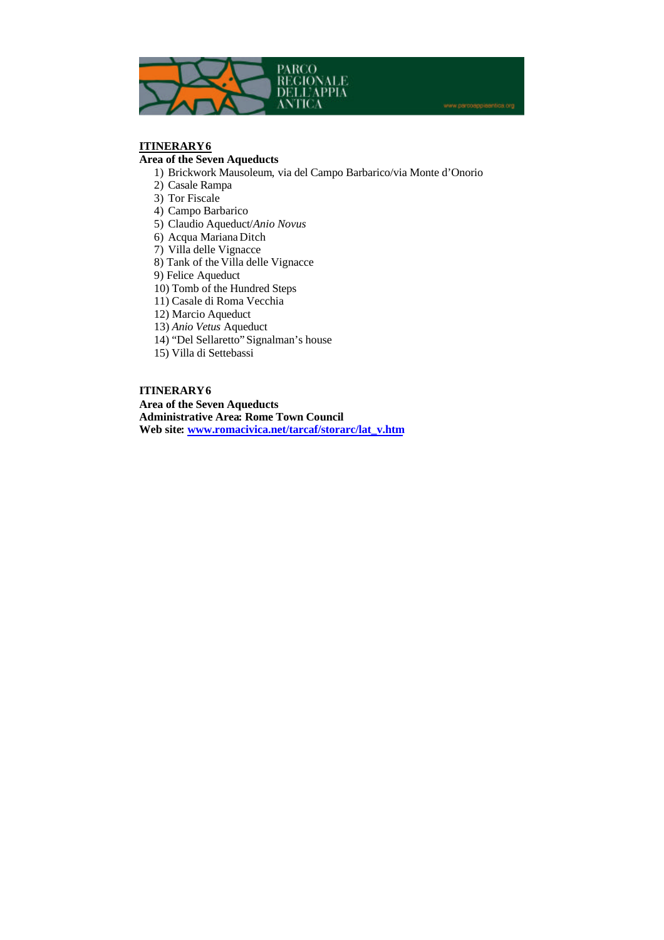

# **ITINERARY 6**

## **Area of the Seven Aqueducts**

- 1) Brickwork Mausoleum, via del Campo Barbarico/via Monte d'Onorio
- 2) Casale Rampa
- 3) Tor Fiscale
- 4) Campo Barbarico
- 5) Claudio Aqueduct/*Anio Novus*
- 6) Acqua Mariana Ditch
- 7) Villa delle Vignacce
- 8) Tank of the Villa delle Vignacce
- 9) Felice Aqueduct
- 10) Tomb of the Hundred Steps
- 11) Casale di Roma Vecchia
- 12) Marcio Aqueduct
- 13) *Anio Vetus* Aqueduct
- 14) "Del Sellaretto" Signalman's house
- 15) Villa di Settebassi

## **ITINERARY 6**

**Area of the Seven Aqueducts Administrative Area: Rome Town Council Web site: www.romacivica.net/tarcaf/storarc/lat\_v.htm**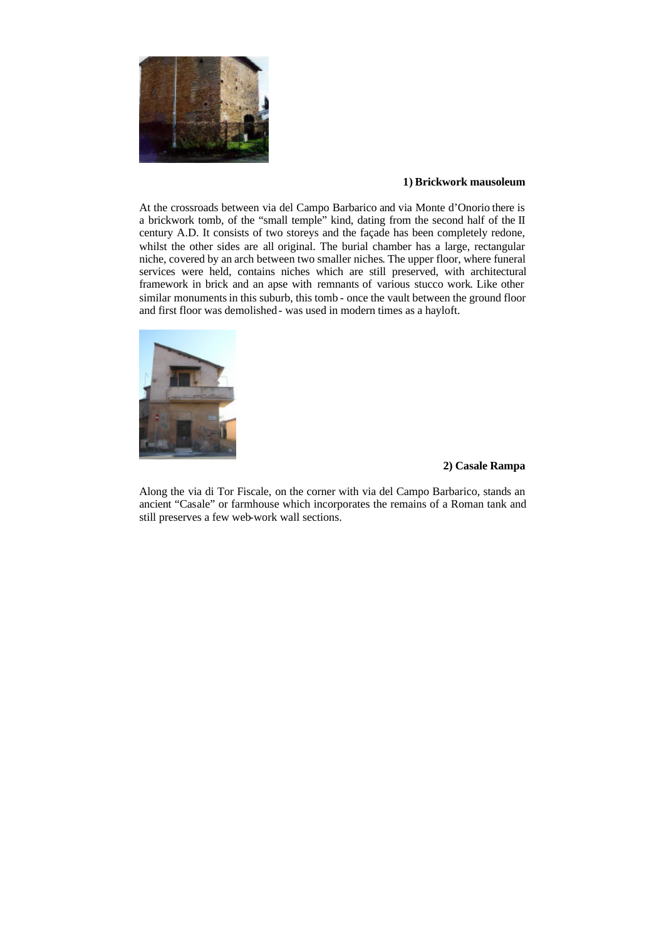

## **1) Brickwork mausoleum**

At the crossroads between via del Campo Barbarico and via Monte d'Onorio there is a brickwork tomb, of the "small temple" kind, dating from the second half of the II century A.D. It consists of two storeys and the façade has been completely redone, whilst the other sides are all original. The burial chamber has a large, rectangular niche, covered by an arch between two smaller niches. The upper floor, where funeral services were held, contains niches which are still preserved, with architectural framework in brick and an apse with remnants of various stucco work. Like other similar monuments in this suburb, this tomb - once the vault between the ground floor and first floor was demolished- was used in modern times as a hayloft.



## **2) Casale Rampa**

Along the via di Tor Fiscale, on the corner with via del Campo Barbarico, stands an ancient "Casale" or farmhouse which incorporates the remains of a Roman tank and still preserves a few web-work wall sections.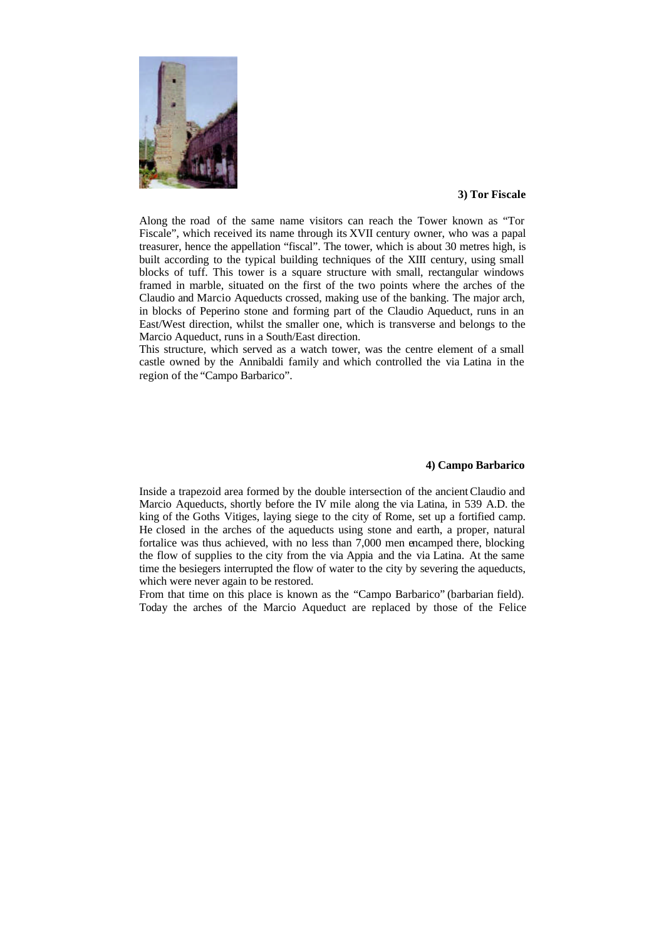

#### **3) Tor Fiscale**

Along the road of the same name visitors can reach the Tower known as "Tor Fiscale", which received its name through its XVII century owner, who was a papal treasurer, hence the appellation "fiscal". The tower, which is about 30 metres high, is built according to the typical building techniques of the XIII century, using small blocks of tuff. This tower is a square structure with small, rectangular windows framed in marble, situated on the first of the two points where the arches of the Claudio and Marcio Aqueducts crossed, making use of the banking. The major arch, in blocks of Peperino stone and forming part of the Claudio Aqueduct, runs in an East/West direction, whilst the smaller one, which is transverse and belongs to the Marcio Aqueduct, runs in a South/East direction.

This structure, which served as a watch tower, was the centre element of a small castle owned by the Annibaldi family and which controlled the via Latina in the region of the "Campo Barbarico".

#### **4) Campo Barbarico**

Inside a trapezoid area formed by the double intersection of the ancient Claudio and Marcio Aqueducts, shortly before the IV mile along the via Latina, in 539 A.D. the king of the Goths Vitiges, laying siege to the city of Rome, set up a fortified camp. He closed in the arches of the aqueducts using stone and earth, a proper, natural fortalice was thus achieved, with no less than 7,000 men encamped there, blocking the flow of supplies to the city from the via Appia and the via Latina. At the same time the besiegers interrupted the flow of water to the city by severing the aqueducts, which were never again to be restored.

From that time on this place is known as the "Campo Barbarico" (barbarian field). Today the arches of the Marcio Aqueduct are replaced by those of the Felice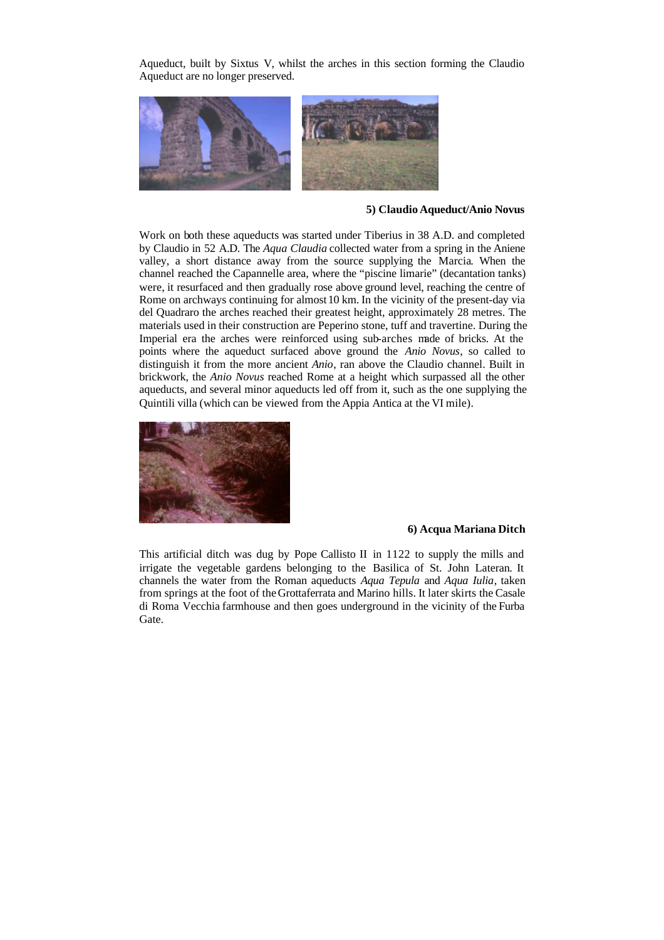Aqueduct, built by Sixtus V, whilst the arches in this section forming the Claudio Aqueduct are no longer preserved.



#### **5) Claudio Aqueduct/Anio Novus**

Work on both these aqueducts was started under Tiberius in 38 A.D. and completed by Claudio in 52 A.D. The *Aqua Claudia* collected water from a spring in the Aniene valley, a short distance away from the source supplying the Marcia. When the channel reached the Capannelle area, where the "piscine limarie" (decantation tanks) were, it resurfaced and then gradually rose above ground level, reaching the centre of Rome on archways continuing for almost 10 km. In the vicinity of the present-day via del Quadraro the arches reached their greatest height, approximately 28 metres. The materials used in their construction are Peperino stone, tuff and travertine. During the Imperial era the arches were reinforced using sub-arches made of bricks. At the points where the aqueduct surfaced above ground the *Anio Novus*, so called to distinguish it from the more ancient *Anio*, ran above the Claudio channel. Built in brickwork, the *Anio Novus* reached Rome at a height which surpassed all the other aqueducts, and several minor aqueducts led off from it, such as the one supplying the Quintili villa (which can be viewed from the Appia Antica at the VI mile).



#### **6) Acqua Mariana Ditch**

This artificial ditch was dug by Pope Callisto II in 1122 to supply the mills and irrigate the vegetable gardens belonging to the Basilica of St. John Lateran. It channels the water from the Roman aqueducts *Aqua Tepula* and *Aqua Iulia*, taken from springs at the foot of the Grottaferrata and Marino hills. It later skirts the Casale di Roma Vecchia farmhouse and then goes underground in the vicinity of the Furba Gate.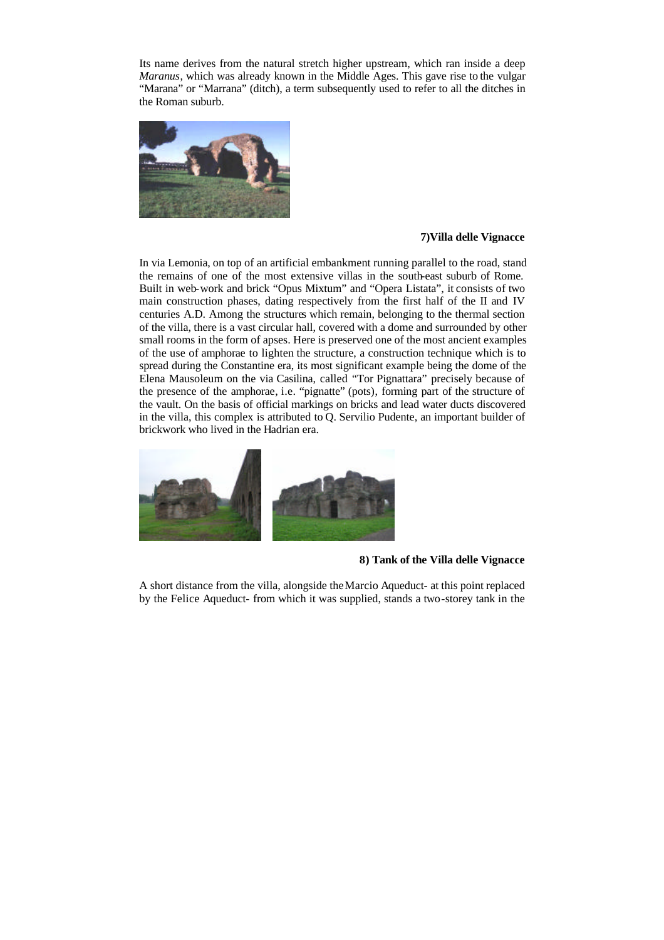Its name derives from the natural stretch higher upstream, which ran inside a deep *Maranus*, which was already known in the Middle Ages. This gave rise to the vulgar "Marana" or "Marrana" (ditch), a term subsequently used to refer to all the ditches in the Roman suburb.



#### **7)Villa delle Vignacce**

In via Lemonia, on top of an artificial embankment running parallel to the road, stand the remains of one of the most extensive villas in the south-east suburb of Rome. Built in web-work and brick "Opus Mixtum" and "Opera Listata", it consists of two main construction phases, dating respectively from the first half of the II and IV centuries A.D. Among the structures which remain, belonging to the thermal section of the villa, there is a vast circular hall, covered with a dome and surrounded by other small rooms in the form of apses. Here is preserved one of the most ancient examples of the use of amphorae to lighten the structure, a construction technique which is to spread during the Constantine era, its most significant example being the dome of the Elena Mausoleum on the via Casilina, called "Tor Pignattara" precisely because of the presence of the amphorae, i.e. "pignatte" (pots), forming part of the structure of the vault. On the basis of official markings on bricks and lead water ducts discovered in the villa, this complex is attributed to Q. Servilio Pudente, an important builder of brickwork who lived in the Hadrian era.



#### **8) Tank of the Villa delle Vignacce**

A short distance from the villa, alongside the Marcio Aqueduct- at this point replaced by the Felice Aqueduct- from which it was supplied, stands a two-storey tank in the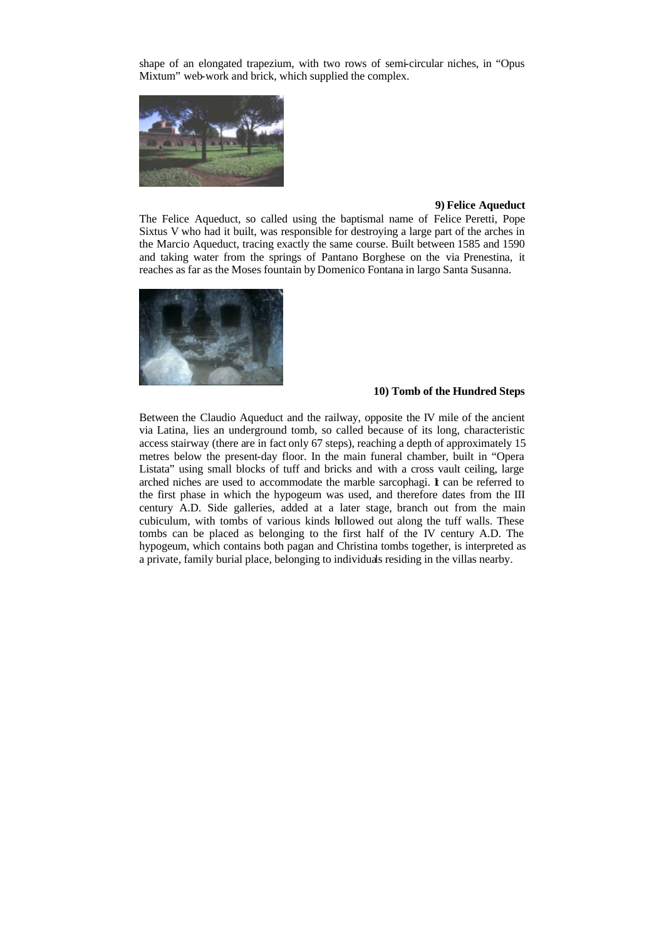shape of an elongated trapezium, with two rows of semi-circular niches, in "Opus Mixtum" web-work and brick, which supplied the complex.



#### **9) Felice Aqueduct**

The Felice Aqueduct, so called using the baptismal name of Felice Peretti, Pope Sixtus V who had it built, was responsible for destroying a large part of the arches in the Marcio Aqueduct, tracing exactly the same course. Built between 1585 and 1590 and taking water from the springs of Pantano Borghese on the via Prenestina, it reaches as far as the Moses fountain by Domenico Fontana in largo Santa Susanna.



#### **10) Tomb of the Hundred Steps**

Between the Claudio Aqueduct and the railway, opposite the IV mile of the ancient via Latina, lies an underground tomb, so called because of its long, characteristic access stairway (there are in fact only 67 steps), reaching a depth of approximately 15 metres below the present-day floor. In the main funeral chamber, built in "Opera Listata" using small blocks of tuff and bricks and with a cross vault ceiling, large arched niches are used to accommodate the marble sarcophagi. I can be referred to the first phase in which the hypogeum was used, and therefore dates from the III century A.D. Side galleries, added at a later stage, branch out from the main cubiculum, with tombs of various kinds hollowed out along the tuff walls. These tombs can be placed as belonging to the first half of the IV century A.D. The hypogeum, which contains both pagan and Christina tombs together, is interpreted as a private, family burial place, belonging to individuals residing in the villas nearby.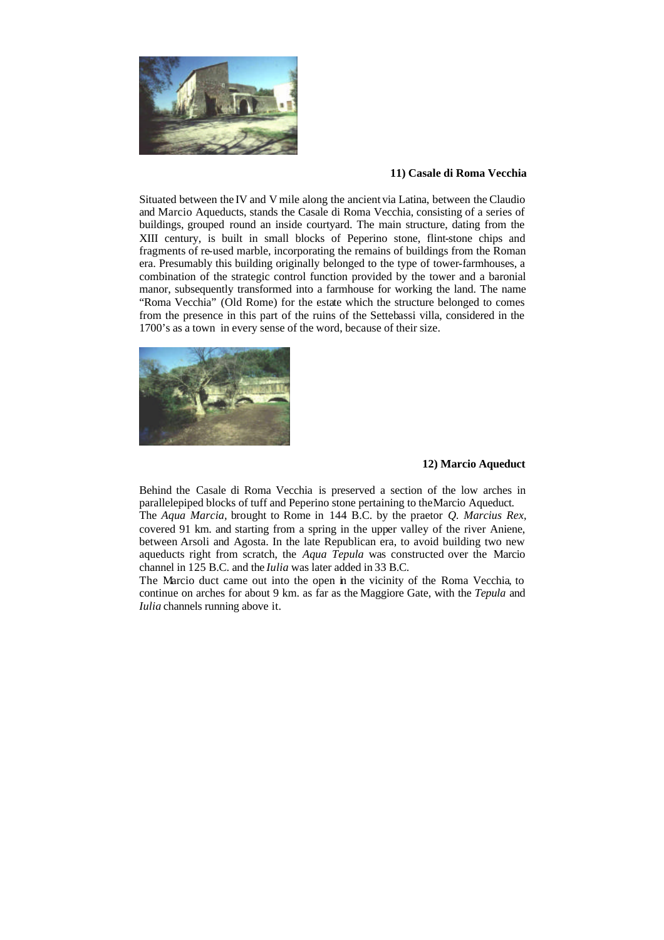

## **11) Casale di Roma Vecchia**

Situated between the IV and V mile along the ancient via Latina, between the Claudio and Marcio Aqueducts, stands the Casale di Roma Vecchia, consisting of a series of buildings, grouped round an inside courtyard. The main structure, dating from the XIII century, is built in small blocks of Peperino stone, flint-stone chips and fragments of re-used marble, incorporating the remains of buildings from the Roman era. Presumably this building originally belonged to the type of tower-farmhouses, a combination of the strategic control function provided by the tower and a baronial manor, subsequently transformed into a farmhouse for working the land. The name "Roma Vecchia" (Old Rome) for the estate which the structure belonged to comes from the presence in this part of the ruins of the Settebassi villa, considered in the 1700's as a town in every sense of the word, because of their size.



#### **12) Marcio Aqueduct**

Behind the Casale di Roma Vecchia is preserved a section of the low arches in parallelepiped blocks of tuff and Peperino stone pertaining to the Marcio Aqueduct. The *Aqua Marcia,* brought to Rome in 144 B.C. by the praetor *Q. Marcius Rex,* covered 91 km. and starting from a spring in the upper valley of the river Aniene, between Arsoli and Agosta. In the late Republican era, to avoid building two new aqueducts right from scratch, the *Aqua Tepula* was constructed over the Marcio channel in 125 B.C. and the *Iulia* was later added in 33 B.C.

The Marcio duct came out into the open in the vicinity of the Roma Vecchia, to continue on arches for about 9 km. as far as the Maggiore Gate, with the *Tepula* and *Iulia* channels running above it.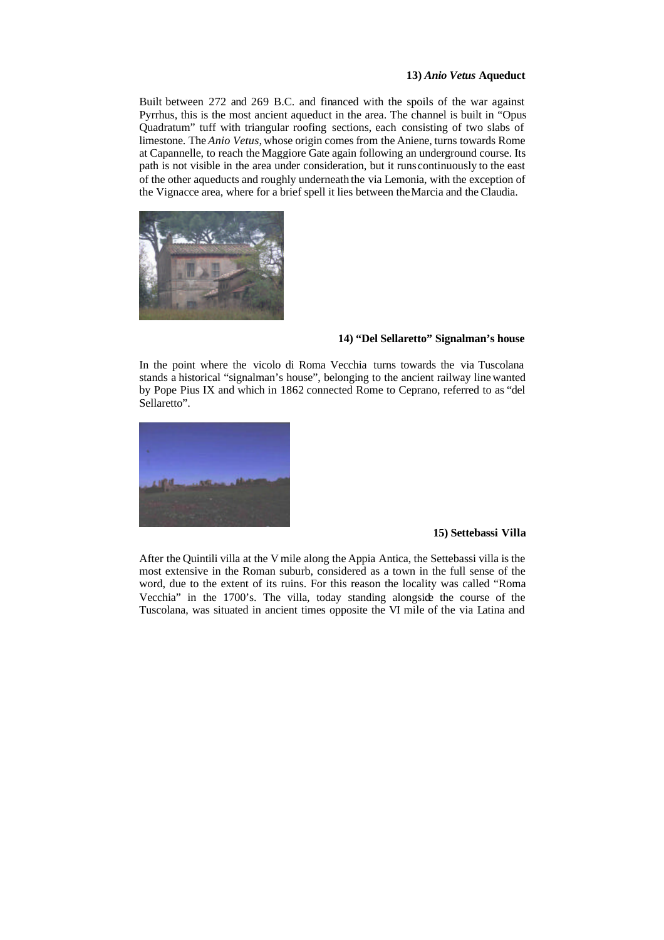#### **13)** *Anio Vetus* **Aqueduct**

Built between 272 and 269 B.C. and financed with the spoils of the war against Pyrrhus, this is the most ancient aqueduct in the area. The channel is built in "Opus Quadratum" tuff with triangular roofing sections, each consisting of two slabs of limestone. The *Anio Vetus,* whose origin comes from the Aniene, turns towards Rome at Capannelle, to reach the Maggiore Gate again following an underground course. Its path is not visible in the area under consideration, but it runs continuously to the east of the other aqueducts and roughly underneath the via Lemonia, with the exception of the Vignacce area, where for a brief spell it lies between the Marcia and the Claudia.



## **14) "Del Sellaretto" Signalman's house**

In the point where the vicolo di Roma Vecchia turns towards the via Tuscolana stands a historical "signalman's house", belonging to the ancient railway line wanted by Pope Pius IX and which in 1862 connected Rome to Ceprano, referred to as "del Sellaretto".



## **15) Settebassi Villa**

After the Quintili villa at the V mile along the Appia Antica, the Settebassi villa is the most extensive in the Roman suburb, considered as a town in the full sense of the word, due to the extent of its ruins. For this reason the locality was called "Roma Vecchia" in the 1700's. The villa, today standing alongside the course of the Tuscolana, was situated in ancient times opposite the VI mile of the via Latina and